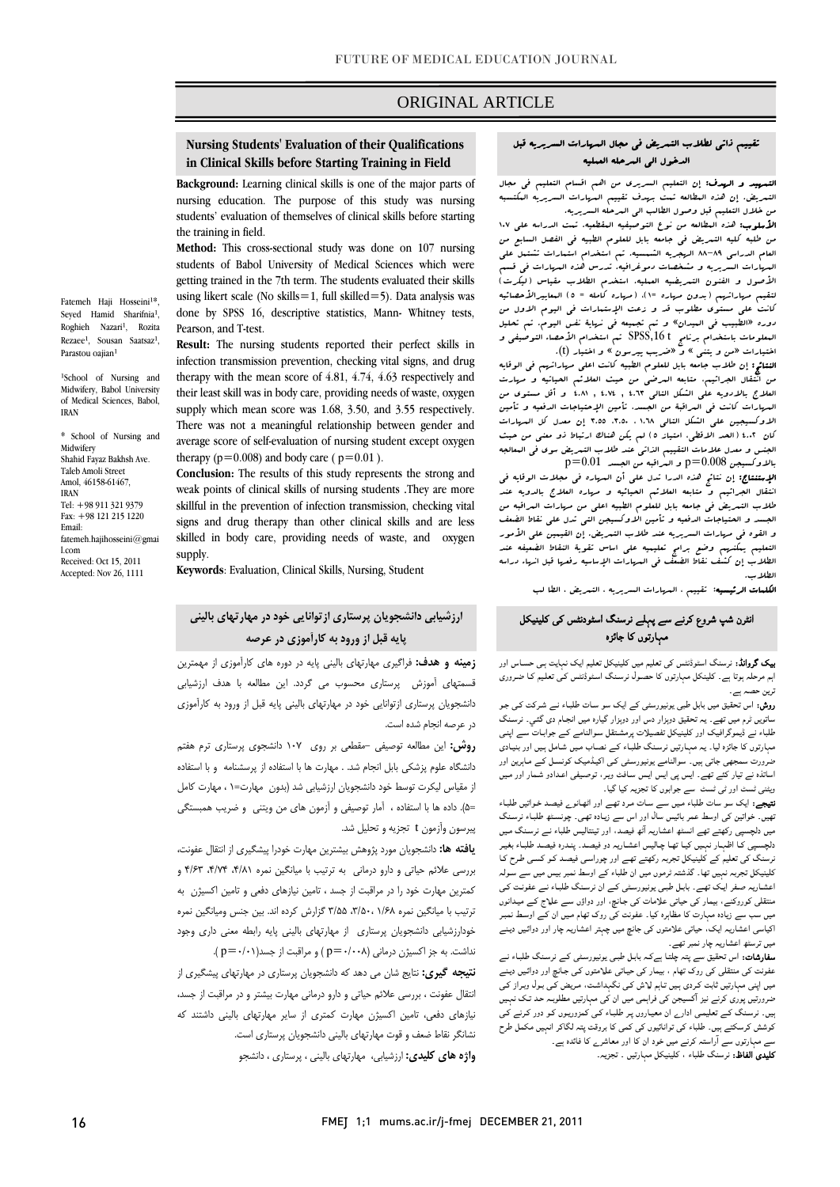### ORIGINAL ARTICLE

# **Nursing Students' Evaluation of their Qualifications in Clinical Skills before Starting Training in Field**

ī

 **Background:** Learning clinical skills is one of the major parts of students' evaluation of themselves of clinical skills before starting nursing education. The purpose of this study was nursing the training in field.

 **Method:** This cross-sectional study was done on 107 nursing getting trained in the 7th term. The students evaluated their skills using likert scale (No skills=1, full skilled=5). Data analysis was done by SPSS 16, descriptive statistics, Mann- Whitney tests, students of Babol University of Medical Sciences which were Pearson, and T-test.

infection transmission prevention, checking vital signs, and drug therapy with the mean score of 4.81, 4.74, 4.63 respectively and their least skill was in body care, providing needs of waste, oxygen supply which mean score was 1.68, 3.50, and 3.55 respectively. average score of self-evaluation of nursing student except oxygen therapy  $(p=0.008)$  and body care ( $p=0.01$ ). **Result:** The nursing students reported their perfect skills in There was not a meaningful relationship between gender and

 **Conclusion:** The results of this study represents the strong and weak points of clinical skills of nursing students .They are more signs and drug therapy than other clinical skills and are less skilled in body care, providing needs of waste, and oxygen skillful in the prevention of infection transmission, checking vital supply.

**Keywords**: Evaluation, Clinical Skills, Nursing, Student

### **ارزشيابي دانشجويان پرستاري ازتوانايي خود در مهارتهاي باليني پايه قبل از ورود به كارآموزي در عرصه**

 **زمينه و هدف:** فراگيري مهارتهاي باليني پايه در دوره هاي كارآموزي از مهمترين قسمتهاي آموزش پرستاري محسوب مي گردد. اين مطالعه با هدف ارزشيابي دانشجويان پرستاري ازتوانايي خود در مهارتهاي باليني پايه قبل از ورود به كارآموزي در عرصه انجام شده است.

 **روش:** اين مطالعه توصيفي - مقطعي بر روي 107 دانشجوي پرستاري ترم هفتم دانشگاه علوم پزشكي بابل انجام شد. . مهارت ها با استفاده از پرسشنامه و با استفاده .<br>ز مقياس ليكرت توسط خود دانشجويان ارزشيابي شد (بدون مهارت=١ ، مهارت كامل =5). داده ها با استفاده ، آمار توصيفي و آزمون هاي من ويتني و ضريب همبستگي پيرسون وآزمون t تجزيه و تحليل شد.

 **يافته ها:** دانشجويان مورد پژوهش بيشترين مهارت خودرا پيشگيري از انتقال عفونت، بررسي علائم حياتي و دارو درماني به ترتيب با ميانگين نمره ،4/81 ،4/74 4/63 و كمترين مهارت خود را در مراقبت از جسد ، تامين نيازهاي دفعي و تامين اكسيژن به ترتيب با ميانگين نمره 1/68 ،3/50، 3/55 گزارش كرده اند. بين جنس وميانگين نمره خودارزشيابي دانشجويان پرستاري از مهارتهاي باليني پايه رابطه معني داري وجود نداشت. به جز اكسيژن درماني (0/008=p ( و مراقبت از جسد(0/01=p( .

 **نتيجه گيري:** نتايج شان مي دهد كه دانشجويان پرستاري در مهارتهاي پيشگيري از انتقال عفونت ، بررسي علائم حياتي و دارو درماني مهارت بيشتر و در مراقبت از جسد، نيازهاي دفعي، تامين اكسيژن مهارت كمتري از ساير مهارتهاي باليني داشتند كه نشانگر نقاط ضعف و قوت مهارتهاي باليني دانشجويان پرستاري است. ľ **واژه هاي كليدي:** ارزشيابي، مهارتهاي باليني ، پرستاري ، دانشجو

#### تقييم ذاتي لطلاب التمريض في مجال المهارات السريريه قبل الدخول الي المرحله العمليه

Ī

֡֘ L التمهيد و الهدف: إن التعليم السريري من اهم اقسام التعليم في مجال التمريض. إن هذه المطالعه تمت بهدف تقييم المهارات السريريه المكتسبه من خلال التعليم قبل وصول الطالب الي المرحله السريريه.

ا<del>طريقوب،</del> عدد البطالة من <sub>صو</sub>ح التوصيفية البقصية. جب الدراسة على ١٠٧<br>من طلبه كليه التبريض في جامعه بابل للعلوم الطبيه في الفصل السابع من العام الدراسي 88-89 الهجريه الشمسيه. تم استخدام استمارات تشتمل علي المهارات السريريه و مشخصات دموغرافيه. تدرس هذه المهارات في قسم لتقيم مهاراتهم (بدون مهاره =1)، (مهاره كامله = 5) المعاييرالأحصائيه كانت علي مستوي مطلوب قد و زعت الإستمارات في اليوم الاول من المعلومات باستخدام برنامج t ,16SPSS تم استخدام الأحصاء التوصيفي و اختيارات «من و يتني » و «ضريب پيرسون » و اختيار (t(. **الأسلوب:** هذه البطالعه من نوع التوصيفيه البقطعيه. تمت الدراسه على ١٠٧ الأصول و الفنون التمريضيه العمليه. استخدم الطلاب مقياس (ليكرت) دوره «الطبيب في الميدان» و تم تجميعه في نهاية نفس اليوم. تم تحليل

من المنتقل من التعاليم بن انتقل المرضي من حيث المستقبل من حيث العلائم الحياتية و من حيث الحياتية و م<br>من انتقال الجراثيب، متابعه العرضي من حيث العلائم الحياتيه و مهارت العلاج بالادويه علي الشكل التالي 4.63 , 4.74 , 4.81 و أقل مستوي من الاوكسيجين علي الشكل التالي 1.68 ، ،3.50 3.55 إن معدل كل المهارات كان 4.02 (الحد الاقطي، امتياز 5) لم يكن هناك ارتباط ذو معني من حيث الجنس و معدل علامات التقييم الذاتي عند طلاب التمريض سوي في المعالجه النتائج: إن طلاب جامعه بابل للعلوم الطبيه كانت اعلي مهاراتهم في الوقايه المهارات كانت في المراقبة من الجسد، تأمين الإحتياجات الدفعيه و تأمين  $\rm p=0.01$  بالاوكسيجن  $\rm p=0.008$  و العراقبه من الجسد  $\rm p=0.01$ 

 الإستنتاج: إن نتائج هذه الدرا تدل علي أن المهاره في مجلات الوقايه في انتقال الجراثيم و متابعه العلائم الحيائيه و مهاره العلاج بالدويه عند الجسد و الحتياجات الدفعيه و تأمين الاوكسيجن التي تدل علي نقاط الضعف و القوه في مهارات السريريه عند طلاب التمريض. إن القيمين علي الأمور الطلاب إن كشف نقاط الضعف في المهارات الإساسيه رفعها قبل انهاء دراسه طلاب التمريض في جامعه بابل للعلوم الطبيه اعلي من مهارات المراقبه من التعليم يمكنهم وضع برامج تعليميه علي اساس تقوية النقاط الضعيفه عند الطلاب.

ا**لكلمات الرئيسيه**: تقييم ، ال*مهار*ات السريريه ، التمريض ، الطا لب<br>.

#### انٹرن شپ شروع کرنے سے پہلے نرسنگ اسٹودنٹس کی کلینیکل مہارتوں کا جائزہ

 بیک گروانڈ: نرسنگ اسٹوڈنٹس کی تعلیم میں کلینیکل تعلیم ایک نہایت ہـی حسـاس اور اہم مرحلہ ہوتا ہے۔ کلینکل مہارتوں کا حصـول نرسـنگ اسـٹوڈنٹس کـی تعلـیم کـا ضـروری ترین حصہ ہے۔

ریں۔<br>ر**وش:** اس تحقیق میں بابل طبی یونیورسٹی کے ایک سو سـات طلبـاء نـے شـرکت کـی جـو ساتویں ٹرم میں تھے۔ یہ تحقیق دوہزار دس اور دوہزار گيارہ میں انجـام دی گئـي۔ نرسـنگ عبد سے بیسوبر ہیات اور بیسیاس تصنیرات پرمستعل سواساتے سے ہوایات سے اپنی<br>مہارتوں کا جائزہ لیا۔ یہ مہـارتیں نرسـنگ طلبـاء کـے نصـاب مـیں شـامل ہـیں اور بنیـادی ضرورت سمجھی جاتی ہیں۔ سوالنامے یونیورسـٹی کـی اکیـڈمیک کونسـل کـے مـاہرین اور اساتذہ نے تیار کئے تھے۔ ایس پی ایس ایـس سـافٹ ویـر، توصـیفی اعـدادو شـمار اور مـیں طلباء نے ڈیموگرافیک اور کلینیکل تفصیلات پرمشـتقل سـوالنامے کـے جوابـات سـے اپنـی ویٹنی ٹسٹ اور ٹی ٹسٹ سے جوابوں کا تجزیہ کیا گيا۔

 نتیجے: ایک سو سات طلباء مـیں سـے سـات مـرد تھـے اور اٹھـانوے فیصـد خـواتیں طلبـاء تھیں۔ خواتین کی اوسط عمر بائيس سال اور اس سے زیـادہ تھـی۔ چونسـٹھ طلبـاء نرسـنگ دلچسـپی کـا اظہـار نہـیں کیـا تھـا چـالیس اعشـاریہ دو فیصـد۔ پنـدرہ فیصـد طلبـاء بغیـر نرسنگ کی تعلیم کے کلینیکل تجربہ رکھتے تھـے اور چوراسـی فیصـد کـو کسـی طـرح کـا اعشـاریہ صـفر ایـک تھـے۔ بابـل طبـی یونیورسـٹی کـے ان نرسـنگ طلبـاء نـے عفونـت کـی منتقلی کوروکنے، بیمار کی حیاتی علامات کی جـانچ، اور دواؤں سـے علـاج کـے میـدانوں بین سب سے ریاںہ مہارت تا مساہرہ تیا۔ صوت کی روت تھام میں ان سے اوست تنبد<br>اکیاسی اعشاریہ ایک، حیاتی علامتوں کی جانچ میں چہتر اعشاریہ چار اور دوائیں دینے میں ترسٹھ اعشاریہ چار نمبر تھے۔ میں دلچسپی رکھتے تھے انسٹھ اعشاریہ آٹھ فیصد، اور تینتالیس طلباء نـے نرسـنگ مـیں کلینیکل تجربہ نہیں تھا۔ گذشتہ ٹرموں میں ان طلباء کے اوسط نمبر بیس میں سے سـولہ میں سب سے زیادہ مہارت کا مظاہرہ کیا۔ عفونت کی روک تھام مـیں ان کـے اوسـط نمبـر

**سدرسات.** اس تحقیق سے پتہ چنت ہے *تـہ* بابل طبـی یونیورسنـی نـے برسـنت طبـاء نے<br>عفونت کی منتقلی کی روک تھام ، بیمار کی حیـاتی علامتوں کـی جـانچ اور دوائـيں دیـنے میں اپنی مہارتیں ثابت کـردی ہـیں تـاہم لـاش کـی نگہداشـت، مـریض کـی بـول وبـراز کـی ضرورتیں پوری کرنے نیز آکسیجن کی فراہمی میں ان کی مہارتیں مطلوبـہ حـد تـک نہـیں کوشش کرسکتے ہیں۔ طلباء کی توانائيوں کی کمی کا بروقت پتہ لگاکر انہیں مکمل طرح سے مہارتوں سے آراستہ کرنے میں خود ان کا اور معاشرے کا فائدہ ہے۔ **کلیدی الفاظ:** نرسنگ طلباء ، کلینیکل مہارتیں <sub>-</sub> تجزیہ۔<br>۔ سفارشات: اس تحقیق سے پتہ چلتـا ہےکـہ بابـل طبـی یونیورسـٹی کـے نرسـنگ طلبـاء نـے ہیں۔ نرسـنگ کـے تعلیمـی ادارے ان معیـاروں پـر طلبـاء کـی کمزوریـوں کـو دور کـرنے کـی

Fatemeh Haji Hosseini<sup>1\*</sup>, Seyed Hamid Sharifnia<sup>1</sup>, Roghieh Nazari<sup>1</sup>, Rozita Rezaee<sup>1</sup>, Sousan Saatsaz<sup>1</sup> Parastou oaiian<sup>1</sup>

<sup>1</sup>School of Nursing and Midwifery, Babol University of Medical Sciences, Babol, IRAN

\* School of Nursing and Midwifery Shahid Fayaz Bakhsh Ave. Taleb Amoli Street Amol, 46158-61467, IRAN Tel: +98 911 321 9379 Fax: +98 121 215 1220 Email: fatemeh.hajihosseini@gmai l.com Received: Oct 15, 2011 Accepted: Nov 26, 1111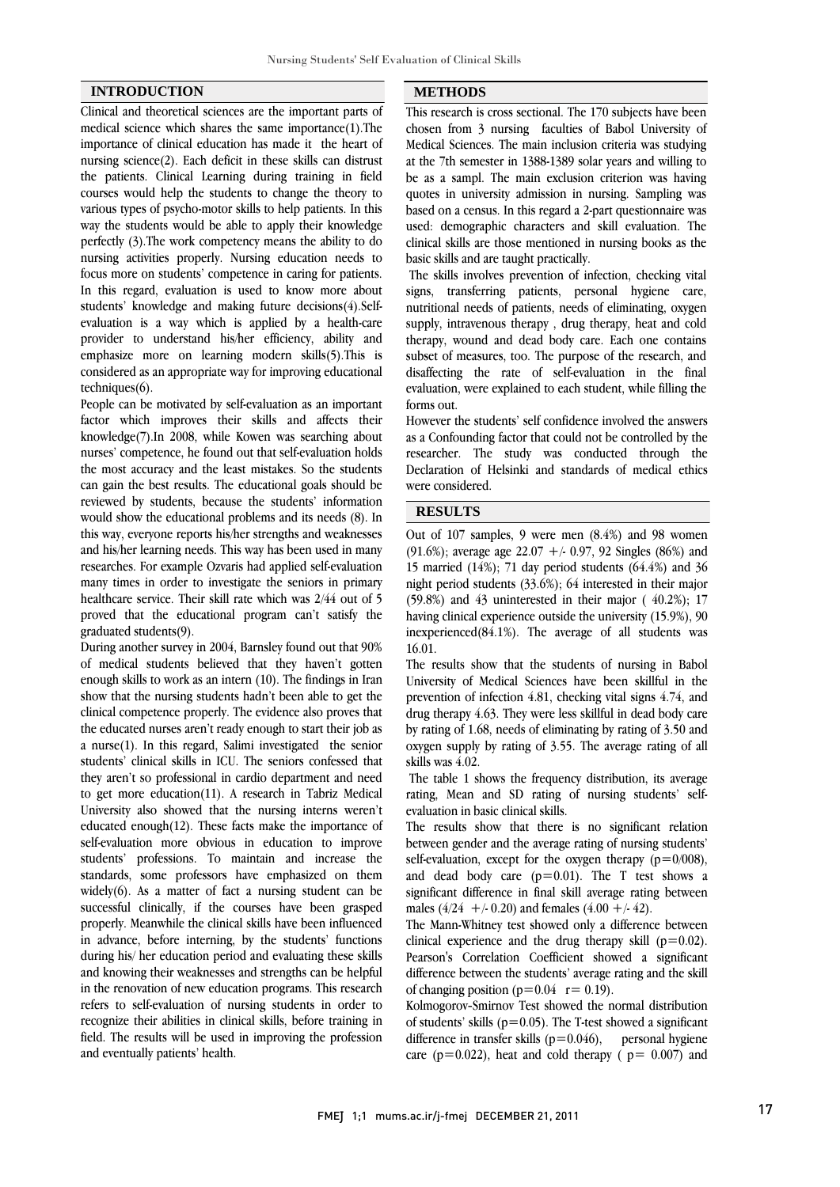#### **INTRODUCTION**

Clinical and theoretical sciences are the important parts of medical science which shares the same importance(1).The importance of clinical education has made it the heart of nursing science(2). Each deficit in these skills can distrust the patients. Clinical Learning during training in field courses would help the students to change the theory to various types of psycho-motor skills to help patients. In this way the students would be able to apply their knowledge perfectly (3).The work competency means the ability to do nursing activities properly. Nursing education needs to focus more on students' competence in caring for patients. In this regard, evaluation is used to know more about students' knowledge and making future decisions(4).Selfevaluation is a way which is applied by a health-care provider to understand his/her efficiency, ability and emphasize more on learning modern skills(5).This is considered as an appropriate way for improving educational techniques(6).

People can be motivated by self-evaluation as an important factor which improves their skills and affects their knowledge(7).In 2008, while Kowen was searching about nurses' competence, he found out that self-evaluation holds the most accuracy and the least mistakes. So the students can gain the best results. The educational goals should be reviewed by students, because the students' information would show the educational problems and its needs (8). In this way, everyone reports his/her strengths and weaknesses and his/her learning needs. This way has been used in many researches. For example Ozvaris had applied self-evaluation many times in order to investigate the seniors in primary healthcare service. Their skill rate which was 2/44 out of 5 proved that the educational program can't satisfy the graduated students(9).

During another survey in 2004, Barnsley found out that 90% of medical students believed that they haven't gotten enough skills to work as an intern (10). The findings in Iran show that the nursing students hadn't been able to get the clinical competence properly. The evidence also proves that the educated nurses aren't ready enough to start their job as a nurse(1). In this regard, Salimi investigated the senior students' clinical skills in ICU. The seniors confessed that they aren't so professional in cardio department and need to get more education(11). A research in Tabriz Medical University also showed that the nursing interns weren't educated enough(12). These facts make the importance of self-evaluation more obvious in education to improve students' professions. To maintain and increase the standards, some professors have emphasized on them widely(6). As a matter of fact a nursing student can be successful clinically, if the courses have been grasped properly. Meanwhile the clinical skills have been influenced in advance, before interning, by the students' functions during his/ her education period and evaluating these skills and knowing their weaknesses and strengths can be helpful in the renovation of new education programs. This research refers to self-evaluation of nursing students in order to recognize their abilities in clinical skills, before training in field. The results will be used in improving the profession and eventually patients' health.

#### **METHODS**

 This research is cross sectional. The 170 subjects have been chosen from 3 nursing faculties of Babol University of Medical Sciences. The main inclusion criteria was studying be as a sampl. The main exclusion criterion was having quotes in university admission in nursing. Sampling was based on a census. In this regard a 2-part questionnaire was used: demographic characters and skill evaluation. The basic skills and are taught practically. at the 7th semester in 1388-1389 solar years and willing to clinical skills are those mentioned in nursing books as the

 The skills involves prevention of infection, checking vital signs, transferring patients, personal hygiene care, nutritional needs of patients, needs of eliminating, oxygen therapy, wound and dead body care. Each one contains subset of measures, too. The purpose of the research, and disaffecting the rate of self-evaluation in the final evaluation, were explained to each student, while filling the supply, intravenous therapy , drug therapy, heat and cold forms out.

 However the students' self confidence involved the answers as a Confounding factor that could not be controlled by the researcher. The study was conducted through the Declaration of Helsinki and standards of medical ethics were considered.

## **RESULTS**

 Out of 107 samples, 9 were men (8.4%) and 98 women (91.6%); average age  $22.07 + 0.97$ , 92 Singles (86%) and night period students (33.6%); 64 interested in their major (59.8%) and 43 uninterested in their major ( 40.2%); 17 having clinical experience outside the university (15.9%), 90 inexperienced(84.1%). The average of all students was 15 married (14%); 71 day period students (64.4%) and 36 16.01.

 The results show that the students of nursing in Babol University of Medical Sciences have been skillful in the prevention of infection 4.81, checking vital signs 4.74, and drug therapy 4.63. They were less skillful in dead body care oxygen supply by rating of 3.55. The average rating of all skills was 4.02. by rating of 1.68, needs of eliminating by rating of 3.50 and

 The table 1 shows the frequency distribution, its average rating, Mean and SD rating of nursing students' selfevaluation in basic clinical skills.

 The results show that there is no significant relation between gender and the average rating of nursing students' self-evaluation, except for the oxygen therapy  $(p=0/008)$ , and dead body care  $(p=0.01)$ . The T test shows a males  $(4/24 + 0.20)$  and females  $(4.00 + 4.42)$ . significant difference in final skill average rating between

 The Mann-Whitney test showed only a difference between clinical experience and the drug therapy skill  $(p=0.02)$ . Pearson's Correlation Coefficient showed a significant of changing position ( $p=0.04$  r = 0.19). difference between the students' average rating and the skill

 Kolmogorov-Smirnov Test showed the normal distribution of students' skills ( $p=0.05$ ). The T-test showed a significant difference in transfer skills ( $p=0.046$ ), personal hygiene care ( $p=0.022$ ), heat and cold therapy ( $p=0.007$ ) and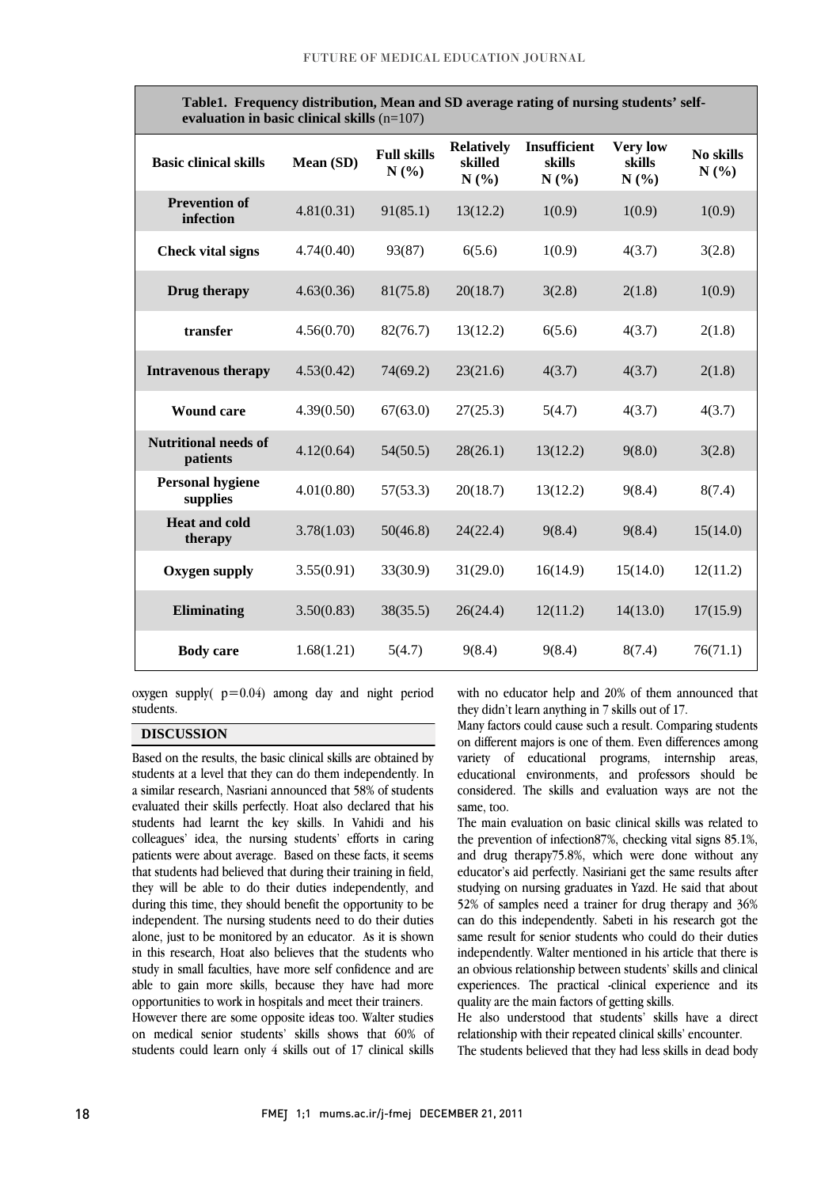| TableT. Frequency distribution, Mean and SD average rating of nursing students' self-<br>evaluation in basic clinical skills $(n=107)$ |            |                            |                                      |                                |                                   |                   |
|----------------------------------------------------------------------------------------------------------------------------------------|------------|----------------------------|--------------------------------------|--------------------------------|-----------------------------------|-------------------|
| <b>Basic clinical skills</b>                                                                                                           | Mean (SD)  | <b>Full skills</b><br>N(%) | <b>Relatively</b><br>skilled<br>N(%) | Insufficient<br>skills<br>N(%) | <b>Very low</b><br>skills<br>N(%) | No skills<br>N(%) |
| <b>Prevention of</b><br>infection                                                                                                      | 4.81(0.31) | 91(85.1)                   | 13(12.2)                             | 1(0.9)                         | 1(0.9)                            | 1(0.9)            |
| <b>Check vital signs</b>                                                                                                               | 4.74(0.40) | 93(87)                     | 6(5.6)                               | 1(0.9)                         | 4(3.7)                            | 3(2.8)            |
| Drug therapy                                                                                                                           | 4.63(0.36) | 81(75.8)                   | 20(18.7)                             | 3(2.8)                         | 2(1.8)                            | 1(0.9)            |
| transfer                                                                                                                               | 4.56(0.70) | 82(76.7)                   | 13(12.2)                             | 6(5.6)                         | 4(3.7)                            | 2(1.8)            |
| <b>Intravenous therapy</b>                                                                                                             | 4.53(0.42) | 74(69.2)                   | 23(21.6)                             | 4(3.7)                         | 4(3.7)                            | 2(1.8)            |
| <b>Wound care</b>                                                                                                                      | 4.39(0.50) | 67(63.0)                   | 27(25.3)                             | 5(4.7)                         | 4(3.7)                            | 4(3.7)            |
| <b>Nutritional needs of</b><br>patients                                                                                                | 4.12(0.64) | 54(50.5)                   | 28(26.1)                             | 13(12.2)                       | 9(8.0)                            | 3(2.8)            |
| <b>Personal hygiene</b><br>supplies                                                                                                    | 4.01(0.80) | 57(53.3)                   | 20(18.7)                             | 13(12.2)                       | 9(8.4)                            | 8(7.4)            |
| <b>Heat and cold</b><br>therapy                                                                                                        | 3.78(1.03) | 50(46.8)                   | 24(22.4)                             | 9(8.4)                         | 9(8.4)                            | 15(14.0)          |
| <b>Oxygen supply</b>                                                                                                                   | 3.55(0.91) | 33(30.9)                   | 31(29.0)                             | 16(14.9)                       | 15(14.0)                          | 12(11.2)          |
| Eliminating                                                                                                                            | 3.50(0.83) | 38(35.5)                   | 26(24.4)                             | 12(11.2)                       | 14(13.0)                          | 17(15.9)          |
| <b>Body</b> care                                                                                                                       | 1.68(1.21) | 5(4.7)                     | 9(8.4)                               | 9(8.4)                         | 8(7.4)                            | 76(71.1)          |

**Table1. Frequency distribution, Mean and SD average rating of nursing students' self-**

İ

oxygen supply( $p=0.04$ ) among day and night period ֦ students.

#### **DISCUSSION**

 Based on the results, the basic clinical skills are obtained by students at a level that they can do them independently. In evaluated their skills perfectly. Hoat also declared that his students had learnt the key skills. In Vahidi and his colleagues' idea, the nursing students' efforts in caring panents were about average. Based on these facts, it seems<br>that students had believed that during their training in field, they will be able to do their duties independently, and during this time, they should benefit the opportunity to be independent. The nursing students need to do their duties in this research, Hoat also believes that the students who study in small faculties, have more self confidence and are able to gain more skills, because they have had more opportunities to work in hospitals and meet their trainers. a similar research, Nasriani announced that 58% of students patients were about average. Based on these facts, it seems alone, just to be monitored by an educator. As it is shown However there are some opposite ideas too. Walter studies

 on medical senior students' skills shows that 60% of students could learn only 4 skills out of 17 clinical skills

with no educator help and 20% of them announced that they didn't learn anything in 7 skills out of 17.

İ

 Many factors could cause such a result. Comparing students on different majors is one of them. Even differences among variety of educational programs, internship areas, educational environments, and professors should be considered. The skills and evaluation ways are not the same, too.

 The main evaluation on basic clinical skills was related to the prevention of infection87%, checking vital signs 85.1%, and drug therapy75.8%, which were done without any studying on nursing graduates in Yazd. He said that about 52% of samples need a trainer for drug therapy and 36% can do this independently. Sabeti in his research got the independently. Walter mentioned in his article that there is an obvious relationship between students' skills and clinical experiences. The practical -clinical experience and its educator's aid perfectly. Nasiriani get the same results after same result for senior students who could do their duties quality are the main factors of getting skills.

 relationship with their repeated clinical skills' encounter. The students believed that they had less skills in dead bodyHe also understood that students' skills have a direct

 $\overline{a}$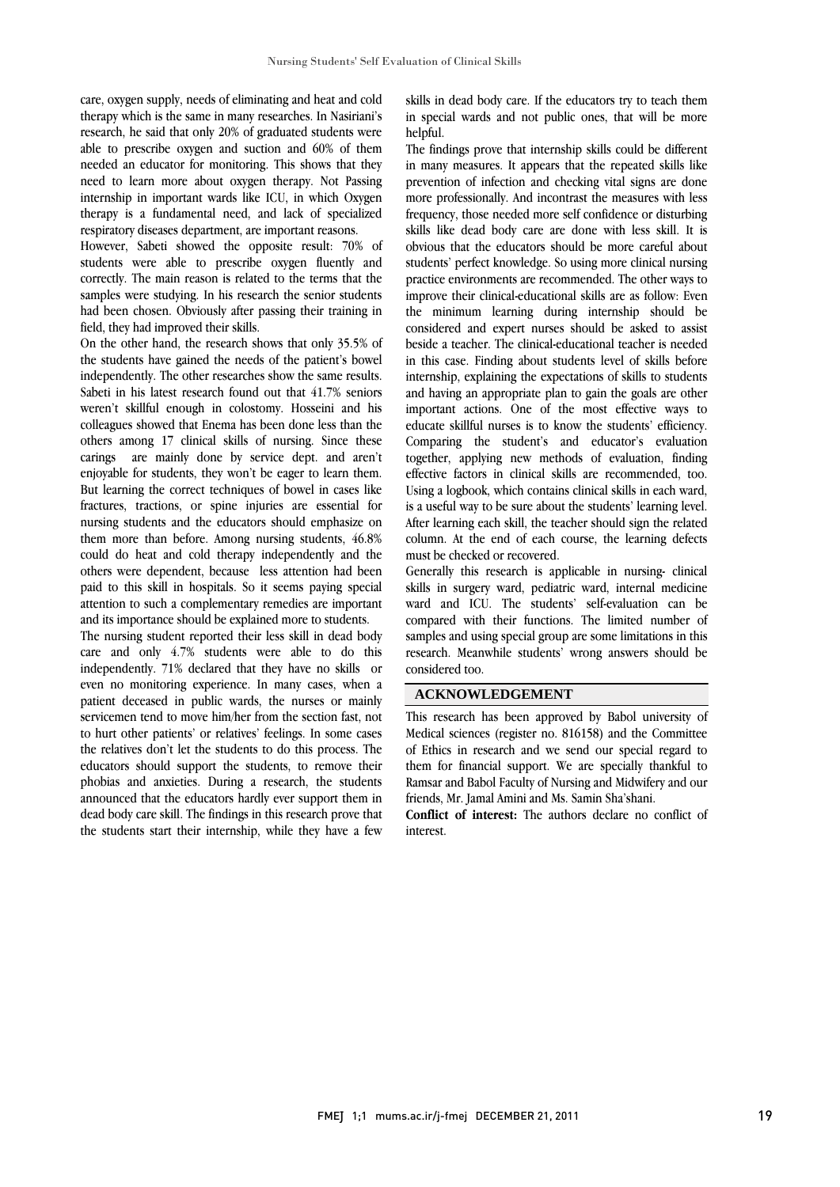care, oxygen supply, needs of eliminating and heat and cold therapy which is the same in many researches. In Nasiriani's research, he said that only 20% of graduated students were able to prescribe oxygen and suction and 60% of them needed an educator for monitoring. This shows that they need to learn more about oxygen therapy. Not Passing internship in important wards like ICU, in which Oxygen therapy is a fundamental need, and lack of specialized respiratory diseases department, are important reasons.

However, Sabeti showed the opposite result: 70% of students were able to prescribe oxygen fluently and correctly. The main reason is related to the terms that the samples were studying. In his research the senior students had been chosen. Obviously after passing their training in field, they had improved their skills.

On the other hand, the research shows that only 35.5% of the students have gained the needs of the patient's bowel independently. The other researches show the same results. Sabeti in his latest research found out that 41.7% seniors weren't skillful enough in colostomy. Hosseini and his colleagues showed that Enema has been done less than the others among 17 clinical skills of nursing. Since these carings are mainly done by service dept. and aren't enjoyable for students, they won't be eager to learn them. But learning the correct techniques of bowel in cases like fractures, tractions, or spine injuries are essential for nursing students and the educators should emphasize on them more than before. Among nursing students, 46.8% could do heat and cold therapy independently and the others were dependent, because less attention had been paid to this skill in hospitals. So it seems paying special attention to such a complementary remedies are important and its importance should be explained more to students.

The nursing student reported their less skill in dead body care and only 4.7% students were able to do this independently. 71% declared that they have no skills or even no monitoring experience. In many cases, when a patient deceased in public wards, the nurses or mainly servicemen tend to move him/her from the section fast, not to hurt other patients' or relatives' feelings. In some cases the relatives don't let the students to do this process. The educators should support the students, to remove their phobias and anxieties. During a research, the students announced that the educators hardly ever support them in dead body care skill. The findings in this research prove that the students start their internship, while they have a few  skills in dead body care. If the educators try to teach them in special wards and not public ones, that will be more helpful.

 The findings prove that internship skills could be different in many measures. It appears that the repeated skills like more professionally. And incontrast the measures with less frequency, those needed more self confidence or disturbing skills like dead body care are done with less skill. It is obvious that the educators should be more careful about practice environments are recommended. The other ways to improve their clinical-educational skills are as follow: Even the minimum learning during internship should be considered and expert nurses should be asked to assist in this case. Finding about students level of skills before internship, explaining the expectations of skills to students and having an appropriate plan to gain the goals are other important actions. One of the most effective ways to Comparing the student's and educator's evaluation together, applying new methods of evaluation, finding effective factors in clinical skills are recommended, too. Using a logbook, which contains clinical skills in each ward, After learning each skill, the teacher should sign the related column. At the end of each course, the learning defects must be checked or recovered. prevention of infection and checking vital signs are done students' perfect knowledge. So using more clinical nursing beside a teacher. The clinical-educational teacher is needed educate skillful nurses is to know the students' efficiency. is a useful way to be sure about the students' learning level.

 Generally this research is applicable in nursing- clinical ward and ICU. The students' self-evaluation can be compared with their functions. The limited number of samples and using special group are some limitations in this research. Meanwhile students' wrong answers should be l skills in surgery ward, pediatric ward, internal medicine considered too.

# **ACKNOWLEDGEMENT**

 This research has been approved by Babol university of of Ethics in research and we send our special regard to them for financial support. We are specially thankful to Ramsar and Babol Faculty of Nursing and Midwifery and our friends, Mr. Jamal Amini and Ms. Samin Sha'shani. Medical sciences (register no. 816158) and the Committee

 interest. **Conflict of interest:** The authors declare no conflict of